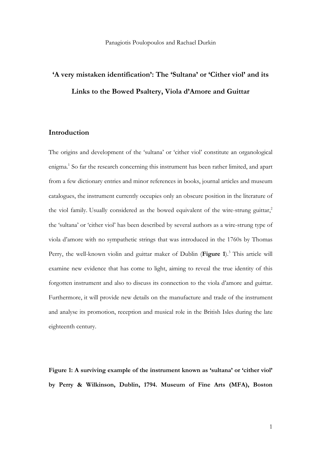# **'A very mistaken identification': The 'Sultana' or 'Cither viol' and its Links to the Bowed Psaltery, Viola d'Amore and Guittar**

### **Introduction**

The origins and development of the 'sultana' or 'cither viol' constitute an organological enigma.1 So far the research concerning this instrument has been rather limited, and apart from a few dictionary entries and minor references in books, journal articles and museum catalogues, the instrument currently occupies only an obscure position in the literature of the viol family. Usually considered as the bowed equivalent of the wire-strung guittar, $2$ the 'sultana' or 'cither viol' has been described by several authors as a wire-strung type of viola d'amore with no sympathetic strings that was introduced in the 1760s by Thomas Perry, the well-known violin and guittar maker of Dublin (**Figure 1**).<sup>3</sup> This article will examine new evidence that has come to light, aiming to reveal the true identity of this forgotten instrument and also to discuss its connection to the viola d'amore and guittar. Furthermore, it will provide new details on the manufacture and trade of the instrument and analyse its promotion, reception and musical role in the British Isles during the late eighteenth century.

**Figure 1: A surviving example of the instrument known as 'sultana' or 'cither viol' by Perry & Wilkinson, Dublin, 1794. Museum of Fine Arts (MFA), Boston**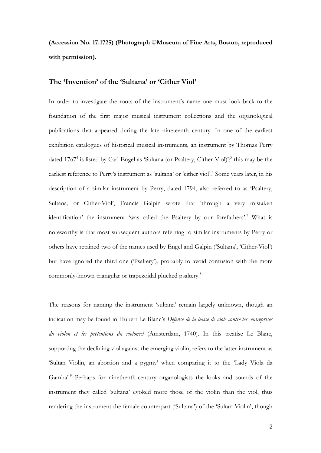**(Accession No. 17.1725) (Photograph** ©**Museum of Fine Arts, Boston, reproduced with permission).** 

#### **The 'Invention' of the 'Sultana' or 'Cither Viol'**

In order to investigate the roots of the instrument's name one must look back to the foundation of the first major musical instrument collections and the organological publications that appeared during the late nineteenth century. In one of the earliest exhibition catalogues of historical musical instruments, an instrument by Thomas Perry dated 1767<sup>4</sup> is listed by Carl Engel as 'Sultana (or Psaltery, Cither-Viol)';<sup>5</sup> this may be the earliest reference to Perry's instrument as 'sultana' or 'cither viol'.<sup>6</sup> Some years later, in his description of a similar instrument by Perry, dated 1794, also referred to as 'Psaltery, Sultana, or Cither-Viol', Francis Galpin wrote that 'through a very mistaken identification' the instrument 'was called the Psaltery by our forefathers'.<sup>7</sup> What is noteworthy is that most subsequent authors referring to similar instruments by Perry or others have retained two of the names used by Engel and Galpin ('Sultana', 'Cither-Viol') but have ignored the third one ('Psaltery'), probably to avoid confusion with the more commonly-known triangular or trapezoidal plucked psaltery.<sup>8</sup>

The reasons for naming the instrument 'sultana' remain largely unknown, though an indication may be found in Hubert Le Blanc's *Défense de la basse de viole contre les entreprises du violon et les prétentions du violoncel* (Amsterdam, 1740). In this treatise Le Blanc, supporting the declining viol against the emerging violin, refers to the latter instrument as 'Sultan Violin, an abortion and a pygmy' when comparing it to the 'Lady Viola da Gamba'. <sup>9</sup> Perhaps for ninethenth-century organologists the looks and sounds of the instrument they called 'sultana' evoked more those of the violin than the viol, thus rendering the instrument the female counterpart ('Sultana') of the 'Sultan Violin', though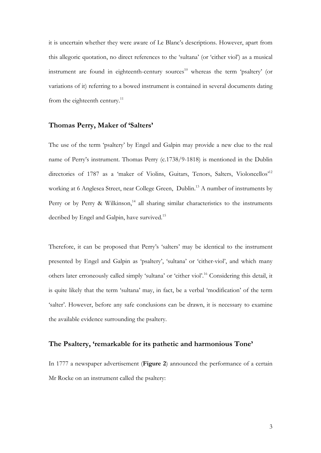it is uncertain whether they were aware of Le Blanc's descriptions. However, apart from this allegoric quotation, no direct references to the 'sultana' (or 'cither viol') as a musical instrument are found in eighteenth-century sources<sup>10</sup> whereas the term 'psaltery' (or variations of it) referring to a bowed instrument is contained in several documents dating from the eighteenth century.<sup>11</sup>

#### **Thomas Perry, Maker of 'Salters'**

The use of the term 'psaltery' by Engel and Galpin may provide a new clue to the real name of Perry's instrument. Thomas Perry (c.1738/9-1818) is mentioned in the Dublin directories of 1787 as a 'maker of Violins, Guitars, Tenors, Salters, Violoncellos<sup>12</sup> working at 6 Anglesea Street, near College Green, Dublin. <sup>13</sup> A number of instruments by Perry or by Perry & Wilkinson,<sup>14</sup> all sharing similar characteristics to the instruments decribed by Engel and Galpin, have survived.<sup>15</sup>

Therefore, it can be proposed that Perry's 'salters' may be identical to the instrument presented by Engel and Galpin as 'psaltery', 'sultana' or 'cither-viol', and which many others later erroneously called simply 'sultana' or 'cither viol'.16 Considering this detail, it is quite likely that the term 'sultana' may, in fact, be a verbal 'modification' of the term 'salter'. However, before any safe conclusions can be drawn, it is necessary to examine the available evidence surrounding the psaltery.

# **The Psaltery, 'remarkable for its pathetic and harmonious Tone'**

In 1777 a newspaper advertisement (**Figure 2**) announced the performance of a certain Mr Rocke on an instrument called the psaltery: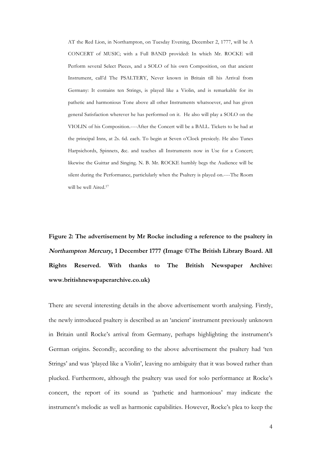AT the Red Lion, in Northampton, on Tuesday Evening, December 2, 1777, will be A CONCERT of MUSIC; with a Full BAND provided: In which Mr. ROCKE will Perform several Select Pieces, and a SOLO of his own Composition, on that ancient Instrument, call'd The PSALTERY, Never known in Britain till his Arrival from Germany: It contains ten Strings, is played like a Violin, and is remarkable for its pathetic and harmonious Tone above all other Instruments whatsoever, and has given general Satisfaction wherever he has performed on it. He also will play a SOLO on the VIOLIN of his Composition.----After the Concert will be a BALL. Tickets to be had at the principal Inns, at 2s. 6d. each. To begin at Seven o'Clock presicely. He also Tunes Harpsichords, Spinnets, &c. and teaches all Instruments now in Use for a Concert; likewise the Guittar and Singing. N. B. Mr. ROCKE humbly begs the Audience will be silent during the Performance, particlularly when the Psaltery is played on.----The Room will be well Aired.17

# **Figure 2: The advertisement by Mr Rocke including a reference to the psaltery in Northampton Mercury, 1 December 1777 (Image ©The British Library Board. All Rights Reserved. With thanks to The British Newspaper Archive: www.britishnewspaperarchive.co.uk)**

There are several interesting details in the above advertisement worth analysing. Firstly, the newly introduced psaltery is described as an 'ancient' instrument previously unknown in Britain until Rocke's arrival from Germany, perhaps highlighting the instrument's German origins. Secondly, according to the above advertisement the psaltery had 'ten Strings' and was 'played like a Violin', leaving no ambiguity that it was bowed rather than plucked. Furthermore, although the psaltery was used for solo performance at Rocke's concert, the report of its sound as 'pathetic and harmonious' may indicate the instrument's melodic as well as harmonic capabilities. However, Rocke's plea to keep the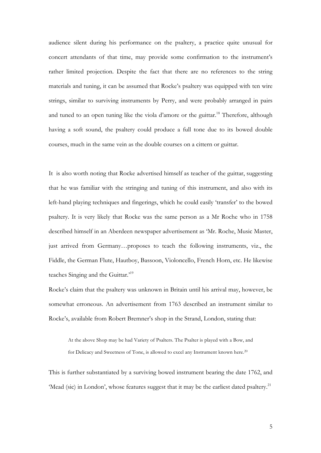audience silent during his performance on the psaltery, a practice quite unusual for concert attendants of that time, may provide some confirmation to the instrument's rather limited projection. Despite the fact that there are no references to the string materials and tuning, it can be assumed that Rocke's psaltery was equipped with ten wire strings, similar to surviving instruments by Perry, and were probably arranged in pairs and tuned to an open tuning like the viola d'amore or the guittar.<sup>18</sup> Therefore, although having a soft sound, the psaltery could produce a full tone due to its bowed double courses, much in the same vein as the double courses on a cittern or guittar.

It is also worth noting that Rocke advertised himself as teacher of the guittar, suggesting that he was familiar with the stringing and tuning of this instrument, and also with its left-hand playing techniques and fingerings, which he could easily 'transfer' to the bowed psaltery. It is very likely that Rocke was the same person as a Mr Roche who in 1758 described himself in an Aberdeen newspaper advertisement as 'Mr. Roche, Music Master, just arrived from Germany…proposes to teach the following instruments, viz., the Fiddle, the German Flute, Hautboy, Bassoon, Violoncello, French Horn, etc. He likewise teaches Singing and the Guittar.'19

Rocke's claim that the psaltery was unknown in Britain until his arrival may, however, be somewhat erroneous. An advertisement from 1763 described an instrument similar to Rocke's, available from Robert Bremner's shop in the Strand, London, stating that:

At the above Shop may be had Variety of Psalters. The Psalter is played with a Bow, and for Delicacy and Sweetness of Tone, is allowed to excel any Instrument known here.<sup>20</sup>

This is further substantiated by a surviving bowed instrument bearing the date 1762, and 'Mead (sic) in London', whose features suggest that it may be the earliest dated psaltery.<sup>21</sup>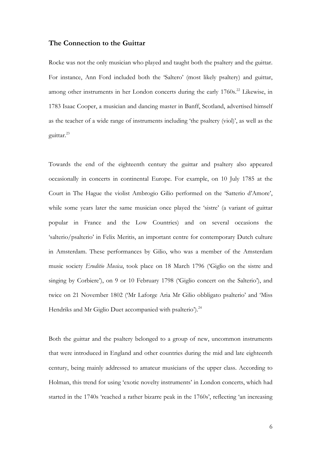### **The Connection to the Guittar**

Rocke was not the only musician who played and taught both the psaltery and the guittar. For instance, Ann Ford included both the 'Saltero' (most likely psaltery) and guittar, among other instruments in her London concerts during the early 1760s.<sup>22</sup> Likewise, in 1783 Isaac Cooper, a musician and dancing master in Banff, Scotland, advertised himself as the teacher of a wide range of instruments including 'the psaltery (viol)', as well as the guittar.23

Towards the end of the eighteenth century the guittar and psaltery also appeared occasionally in concerts in continental Europe. For example, on 10 July 1785 at the Court in The Hague the violist Ambrogio Gilio performed on the 'Satterio d'Amore', while some years later the same musician once played the 'sistre' (a variant of guittar popular in France and the Low Countries) and on several occasions the 'salterio/psalterio' in Felix Meritis, an important centre for contemporary Dutch culture in Amsterdam. These performances by Gilio, who was a member of the Amsterdam music society *Eruditio Musica*, took place on 18 March 1796 ('Giglio on the sistre and singing by Corbiere'), on 9 or 10 February 1798 ('Giglio concert on the Salterio'), and twice on 21 November 1802 ('Mr Laforge Aria Mr Gilio obbligato psalterio' and 'Miss Hendriks and Mr Giglio Duet accompanied with psalterio').<sup>24</sup>

Both the guittar and the psaltery belonged to a group of new, uncommon instruments that were introduced in England and other countries during the mid and late eighteenth century, being mainly addressed to amateur musicians of the upper class. According to Holman, this trend for using 'exotic novelty instruments' in London concerts, which had started in the 1740s 'reached a rather bizarre peak in the 1760s', reflecting 'an increasing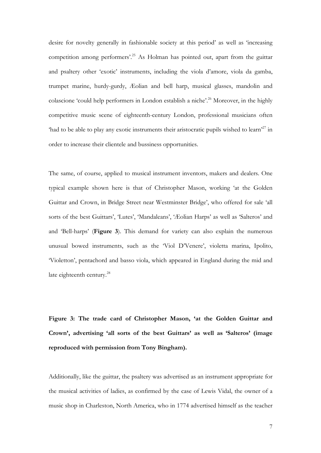desire for novelty generally in fashionable society at this period' as well as 'increasing competition among performers'.25 As Holman has pointed out, apart from the guittar and psaltery other 'exotic' instruments, including the viola d'amore, viola da gamba, trumpet marine, hurdy-gurdy, Æolian and bell harp, musical glasses, mandolin and colascione 'could help performers in London establish a niche'.<sup>26</sup> Moreover, in the highly competitive music scene of eighteenth-century London, professional musicians often 'had to be able to play any exotic instruments their aristocratic pupils wished to learn'27 in order to increase their clientele and bussiness opportunities.

The same, of course, applied to musical instrument inventors, makers and dealers. One typical example shown here is that of Christopher Mason, working 'at the Golden Guittar and Crown, in Bridge Street near Westminster Bridge', who offered for sale 'all sorts of the best Guittars', 'Lutes', 'Mandaleans', 'Æolian Harps' as well as 'Salteros' and and 'Bell-harps' (**Figure 3**). This demand for variety can also explain the numerous unusual bowed instruments, such as the 'Viol D'Venere', violetta marina, Ipolito, 'Violetton', pentachord and basso viola, which appeared in England during the mid and late eighteenth century.<sup>28</sup>

**Figure 3: The trade card of Christopher Mason, 'at the Golden Guittar and Crown', advertising 'all sorts of the best Guittars' as well as 'Salteros' (image reproduced with permission from Tony Bingham).**

Additionally, like the guittar, the psaltery was advertised as an instrument appropriate for the musical activities of ladies, as confirmed by the case of Lewis Vidal, the owner of a music shop in Charleston, North America, who in 1774 advertised himself as the teacher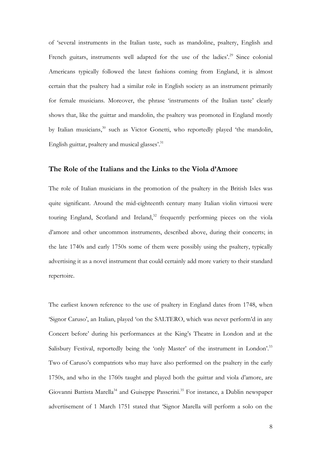of 'several instruments in the Italian taste, such as mandoline, psaltery, English and French guitars, instruments well adapted for the use of the ladies'.<sup>29</sup> Since colonial Americans typically followed the latest fashions coming from England, it is almost certain that the psaltery had a similar role in English society as an instrument primarily for female musicians. Moreover, the phrase 'instruments of the Italian taste' clearly shows that, like the guittar and mandolin, the psaltery was promoted in England mostly by Italian musicians,<sup>30</sup> such as Victor Gonetti, who reportedly played 'the mandolin, English guittar, psaltery and musical glasses<sup>31</sup>.

#### **The Role of the Italians and the Links to the Viola d'Amore**

The role of Italian musicians in the promotion of the psaltery in the British Isles was quite significant. Around the mid-eighteenth century many Italian violin virtuosi were touring England, Scotland and Ireland,<sup>32</sup> frequently performing pieces on the viola d'amore and other uncommon instruments, described above, during their concerts; in the late 1740s and early 1750s some of them were possibly using the psaltery, typically advertising it as a novel instrument that could certainly add more variety to their standard repertoire.

The earliest known reference to the use of psaltery in England dates from 1748, when 'Signor Caruso', an Italian, played 'on the SALTERO, which was never perform'd in any Concert before' during his performances at the King's Theatre in London and at the Salisbury Festival, reportedly being the 'only Master' of the instrument in London'.<sup>33</sup> Two of Caruso's compatriots who may have also performed on the psaltery in the early 1750s, and who in the 1760s taught and played both the guittar and viola d'amore, are Giovanni Battista Marella<sup>34</sup> and Guiseppe Passerini.<sup>35</sup> For instance, a Dublin newspaper advertisement of 1 March 1751 stated that 'Signor Marella will perform a solo on the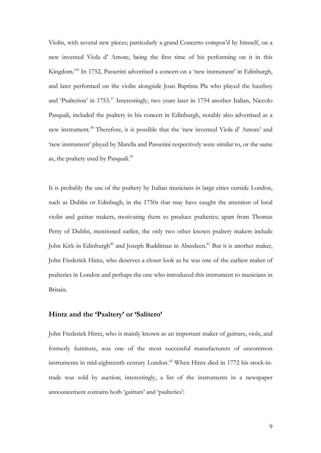Violin, with several new pieces; particularly a grand Concerto compos'd by himself, on a new invented Viola d' Amore, being the first time of his performing on it in this Kingdom.' <sup>36</sup> In 1752, Passerini advertised a concert on a 'new instrument' in Edinburgh, and later performed on the violin alongside Joan Baptista Pla who played the hautboy and 'Psalterion' in 1753. <sup>37</sup> Interestingly, two years later in 1754 another Italian, Niccolo Pasquali, included the psaltery in his concert in Edinburgh, notably also advertised as a new instrument.38 Therefore, it is possible that the 'new invented Viola d' Amore' and 'new instrument' played by Marella and Passerini respectively were similar to, or the same as, the psaltery used by Pasquali.<sup>39</sup>

It is probably the use of the psaltery by Italian musicians in large cities outside London, such as Dublin or Edinbugh, in the 1750s that may have caught the attention of local violin and guittar makers, motivating them to produce psalteries; apart from Thomas Perry of Dublin, mentioned earlier, the only two other known psaltery makers include John Kirk in Edinburgh<sup>40</sup> and Joseph Ruddiman in Aberdeen.<sup>41</sup> But it is another maker, John Frederick Hintz, who deserves a closer look as he was one of the earliest maker of psalteries in London and perhaps the one who introduced this instrument to musicians in Britain.

#### **Hintz and the 'Psaltery' or 'Salitero'**

John Frederick Hintz, who is mainly known as an important maker of guittars, viols, and formerly furniture, was one of the most successful manufacturers of uncommon instruments in mid-eighteenth century London.42 When Hintz died in 1772 his stock-intrade was sold by auction; interestingly, a list of the instruments in a newspaper announcement contains both 'guittars' and 'psalteries':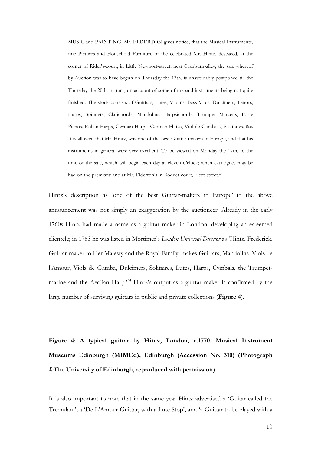MUSIC and PAINTING. Mr. ELDERTON gives notice, that the Musical Instruments, fine Pictures and Household Furniture of the celebrated Mr. Hintz, deseaced, at the corner of Rider's-court, in Little Newport-street, near Cranburn-alley, the sale whereof by Auction was to have begun on Thursday the 13th, is unavoidably postponed till the Thursday the 20th instrant, on account of some of the said instruments being not quite finished. The stock consists of Guittars, Lutes, Violins, Bass-Viols, Dulcimers, Tenors, Harps, Spinnets, Clarichords, Mandolins, Harpsichords, Trumpet Marcens, Forte Pianos, Eolian Harps, German Harps, German Flutes, Viol de Gambo's, Psalteries, &c. It is allowed that Mr. Hintz, was one of the best Guittar-makers in Europe, and that his instruments in general were very excellent. To be viewed on Monday the 17th, to the time of the sale, which will begin each day at eleven o'clock; when catalogues may be had on the premises; and at Mr. Elderton's in Roquet-court, Fleet-street.<sup>43</sup>

Hintz's description as 'one of the best Guittar-makers in Europe' in the above announcement was not simply an exaggeration by the auctioneer. Already in the early 1760s Hintz had made a name as a guittar maker in London, developing an esteemed clientele; in 1763 he was listed in Mortimer's *London Universal Director* as 'Hintz, Frederick. Guittar-maker to Her Majesty and the Royal Family: makes Guittars, Mandolins, Viols de l'Amour, Viols de Gamba, Dulcimers, Solitaires, Lutes, Harps, Cymbals, the Trumpetmarine and the Aeolian Harp.<sup>244</sup> Hintz's output as a guittar maker is confirmed by the large number of surviving guittars in public and private collections (**Figure 4**).

**Figure 4: A typical guittar by Hintz, London, c.1770. Musical Instrument Museums Edinburgh (MIMEd), Edinburgh (Accession No. 310) (Photograph ©The University of Edinburgh, reproduced with permission).**

It is also important to note that in the same year Hintz advertised a 'Guitar called the Tremulant', a 'De L'Amour Guittar, with a Lute Stop', and 'a Guittar to be played with a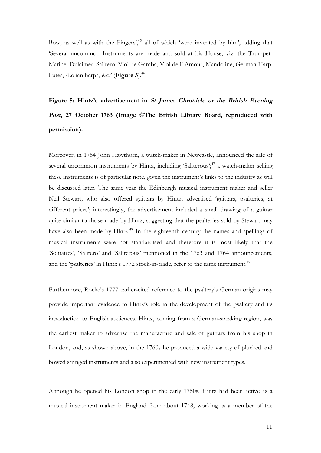Bow, as well as with the Fingers',<sup>45</sup> all of which 'were invented by him', adding that 'Several uncommon Instruments are made and sold at his House, viz. the Trumpet-Marine, Dulcimer, Salitero, Viol de Gamba, Viol de l' Amour, Mandoline, German Harp, Lutes, Æolian harps, &c.' (**Figure 5**).<sup>46</sup>

**Figure 5: Hintz's advertisement in St James Chronicle or the British Evening Post, 27 October 1763 (Image ©The British Library Board, reproduced with permission).**

Moreover, in 1764 John Hawthorn, a watch-maker in Newcastle, announced the sale of several uncommon instruments by Hintz, including 'Saliterous';<sup>47</sup> a watch-maker selling these instruments is of particular note, given the instrument's links to the industry as will be discussed later. The same year the Edinburgh musical instrument maker and seller Neil Stewart, who also offered guittars by Hintz, advertised 'guittars, psalteries, at different prices'; interestingly, the advertisement included a small drawing of a guittar quite similar to those made by Hintz, suggesting that the psalteries sold by Stewart may have also been made by Hintz.<sup>48</sup> In the eighteenth century the names and spellings of musical instruments were not standardised and therefore it is most likely that the 'Solitaires', 'Salitero' and 'Saliterous' mentioned in the 1763 and 1764 announcements, and the 'psalteries' in Hintz's 1772 stock-in-trade, refer to the same instrument.<sup>49</sup>

Furthermore, Rocke's 1777 earlier-cited reference to the psaltery's German origins may provide important evidence to Hintz's role in the development of the psaltery and its introduction to English audiences. Hintz, coming from a German-speaking region, was the earliest maker to advertise the manufacture and sale of guittars from his shop in London, and, as shown above, in the 1760s he produced a wide variety of plucked and bowed stringed instruments and also experimented with new instrument types.

Although he opened his London shop in the early 1750s, Hintz had been active as a musical instrument maker in England from about 1748, working as a member of the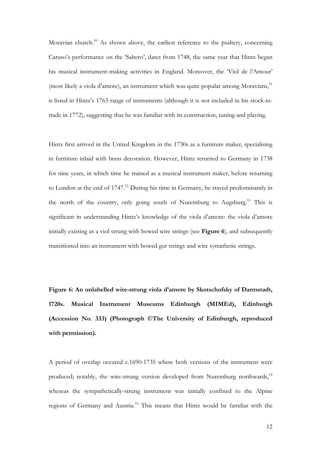Moravian church.<sup>50</sup> As shown above, the earliest reference to the psaltery, concerning Caruso's performance on the 'Saltero', dates from 1748, the same year that Hintz began his musical instrument-making activities in England. Moreover, the 'Viol de l'Amour' (most likely a viola d'amore), an instrument which was quite popular among Moravians,<sup>51</sup> is listed in Hintz's 1763 range of instruments (although it is not included in his stock-intrade in 1772), suggesting that he was familiar with its construction, tuning and playing.

Hintz first arrived in the United Kingdom in the 1730s as a furniture maker, specialising in furniture inlaid with brass decoration. However, Hintz returned to Germany in 1738 for nine years, in which time he trained as a musical instrument maker, before returning to London at the end of  $1747<sup>52</sup>$  During his time in Germany, he stayed predominantly in the north of the country, only going south of Nuremburg to Augsburg.<sup>53</sup> This is significant in understanding Hintz's knowledge of the viola d'amore: the viola d'amore initially existing as a viol strung with bowed wire strings (see **Figure 6**), and subsequently transitioned into an instrument with bowed gut strings and wire symathetic strings.

**Figure 6: An unlabelled wire-strung viola d'amore by Skotschofsky of Darmstadt, 1720s. Musical Instrument Museums Edinburgh (MIMEd), Edinburgh (Accession No. 333) (Photograph ©The University of Edinburgh, reproduced with permission).**

A period of overlap occured c.1690-1735 where both versions of the instrument were produced; notably, the wire-strung version developed from Nuremburg northwards,<sup>54</sup> whereas the sympathetically-strung instrument was initially confined to the Alpine regions of Germany and Austria.55 This means that Hintz would be familiar with the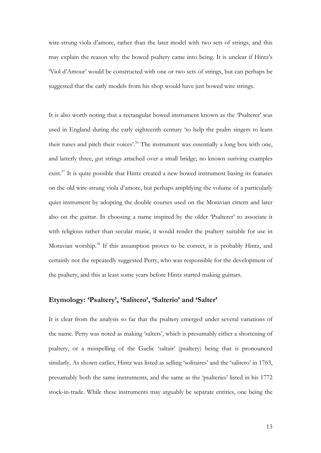wire-strung viola d'amore, rather than the later model with two sets of strings, and this may explain the reason why the bowed psaltery came into being. It is unclear if Hintz's 'Viol d'Amour' would be constructed with one or two sets of strings, but can perhaps be suggested that the early models from his shop would have just bowed wire strings.

It is also worth noting that a rectangular bowed instrument known as the 'Psalterer' was used in England during the early eighteenth century 'to help the psalm singers to learn their tunes and pitch their voices'.<sup>56</sup> The instrument was essentially a long box with one, and latterly three, gut strings attached over a small bridge; no known suriving examples exist.<sup>57</sup> It is quite possible that Hintz created a new bowed instrument basing its features on the old wire-strung viola d'amore, but perhaps amplifying the volume of a particularly quiet instrument by adopting the double courses used on the Moravian cittern and later also on the guittar. In choosing a name inspired by the older 'Psalterer' to associate it with religious rather than secular music, it would render the psaltery suitable for use in Moravian worship.<sup>58</sup> If this assumption proves to be correct, it is probably Hintz, and certainly not the repeatedly suggested Perry, who was responsible for the development of the psaltery, and this at least some years before Hintz started making guittars.

# **Etymology: 'Psaltery', 'Salitero', 'Salterio' and 'Salter'**

It is clear from the analysis so far that the psaltery emerged under several variations of the name. Perry was noted as making 'salters', which is presumably either a shortening of psaltery, or a misspelling of the Gaelic 'saltair' (psaltery) being that is pronounced similarly. As shown earlier, Hintz was listed as selling 'solitaires' and the 'salitero' in 1763, presumably both the same instruments, and the same as the 'psalteries' listed in his 1772 stock-in-trade. While these instruments may arguably be separate entities, one being the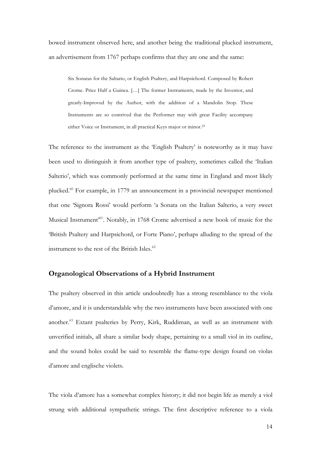bowed instrument observed here, and another being the traditional plucked instrument, an advertisement from 1767 perhaps confirms that they are one and the same:

Six Sonatas for the Saltario, or English Psaltery, and Harpsichord. Composed by Robert Crome. Price Half a Guinea. […] The former Instruments, made by the Inventor, and greatly-Improved by the Author, with the addition of a Mandolin Stop. These Instruments are so contrived that the Performer may with great Facility accompany either Voice or Instrument, in all practical Keys major or minor.59

The reference to the instrument as the 'English Psaltery' is noteworthy as it may have been used to distinguish it from another type of psaltery, sometimes called the 'Italian Salterio', which was commonly performed at the same time in England and most likely plucked.60 For example, in 1779 an announcement in a provincial newspaper mentioned that one 'Signora Rossi' would perform 'a Sonata on the Italian Salterio, a very sweet Musical Instrument<sup>161</sup>. Notably, in 1768 Crome advertised a new book of music for the 'British Psaltery and Harpsichord, or Forte Piano', perhaps alluding to the spread of the instrument to the rest of the British Isles.<sup>62</sup>

# **Organological Observations of a Hybrid Instrument**

The psaltery observed in this article undoubtedly has a strong resemblance to the viola d'amore, and it is understandable why the two instruments have been associated with one another.63 Extant psalteries by Perry, Kirk, Ruddiman, as well as an instrument with unverified initials, all share a similar body shape, pertaining to a small viol in its outline, and the sound holes could be said to resemble the flame-type design found on violas d'amore and englische violets.

The viola d'amore has a somewhat complex history; it did not begin life as merely a viol strung with additional sympathetic strings. The first descriptive reference to a viola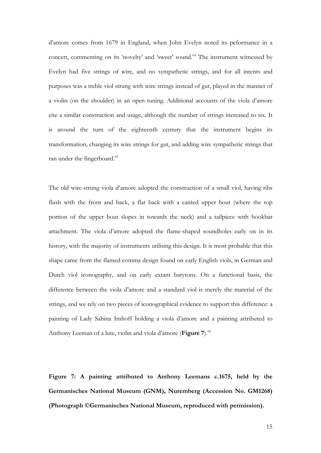d'amore comes from 1679 in England, when John Evelyn noted its peformance in a concert, commenting on its 'novelty' and 'sweet' sound.<sup>64</sup> The instrument witnessed by Evelyn had five strings of wire, and no sympathetic strings, and for all intents and purposes was a treble viol strung with wire strings instead of gut, played in the manner of a violin (on the shoulder) in an open tuning. Additional accounts of the viola d'amore cite a similar construction and usage, although the number of strings increased to six. It is around the turn of the eighteenth century that the instrument begins its transformation, changing its wire strings for gut, and adding wire sympathetic strings that ran under the fingerboard.<sup>65</sup>

The old wire-strung viola d'amore adopted the construction of a small viol, having ribs flush with the front and back, a flat back with a canted upper bout (where the top portion of the upper bout slopes in towards the neck) and a tailpiece with hookbar attachment. The viola d'amore adopted the flame-shaped soundholes early on in its history, with the majority of instruments utilising this design. It is most probable that this shape came from the flamed comma design found on early English viols, in German and Dutch viol iconography, and on early extant barytons. On a functional basis, the difference between the viola d'amore and a standard viol is merely the material of the strings, and we rely on two pieces of iconographical evidence to support this difference: a painting of Lady Sabina Imhoff holding a viola d'amore and a painting attributed to Anthony Leeman of a lute, violin and viola d'amore (**Figure 7**).<sup>66</sup>

**Figure 7: A painting attributed to Anthony Leemans c.1675, held by the Germanisches National Museum (GNM), Nuremberg (Accession No. GM1268) (Photograph ©Germanisches National Museum, reproduced with permission).**

15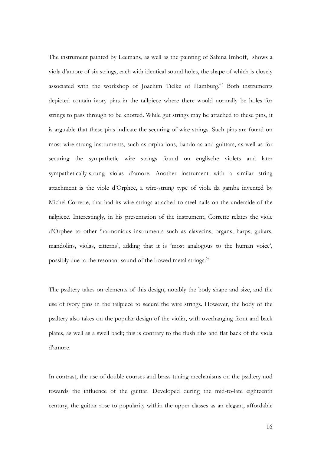The instrument painted by Leemans, as well as the painting of Sabina Imhoff, shows a viola d'amore of six strings, each with identical sound holes, the shape of which is closely associated with the workshop of Joachim Tielke of Hamburg.<sup>67</sup> Both instruments depicted contain ivory pins in the tailpiece where there would normally be holes for strings to pass through to be knotted. While gut strings may be attached to these pins, it is arguable that these pins indicate the securing of wire strings. Such pins are found on most wire-strung instruments, such as orpharions, bandoras and guittars, as well as for securing the sympathetic wire strings found on englische violets and later sympathetically-strung violas d'amore. Another instrument with a similar string attachment is the viole d'Orphee, a wire-strung type of viola da gamba invented by Michel Corrette, that had its wire strings attached to steel nails on the underside of the tailpiece. Interestingly, in his presentation of the instrument, Corrette relates the viole d'Orphee to other 'harmonious instruments such as clavecins, organs, harps, guitars, mandolins, violas, citterns', adding that it is 'most analogous to the human voice', possibly due to the resonant sound of the bowed metal strings.<sup>68</sup>

The psaltery takes on elements of this design, notably the body shape and size, and the use of ivory pins in the tailpiece to secure the wire strings. However, the body of the psaltery also takes on the popular design of the violin, with overhanging front and back plates, as well as a swell back; this is contrary to the flush ribs and flat back of the viola d'amore.

In contrast, the use of double courses and brass tuning mechanisms on the psaltery nod towards the influence of the guittar. Developed during the mid-to-late eighteenth century, the guittar rose to popularity within the upper classes as an elegant, affordable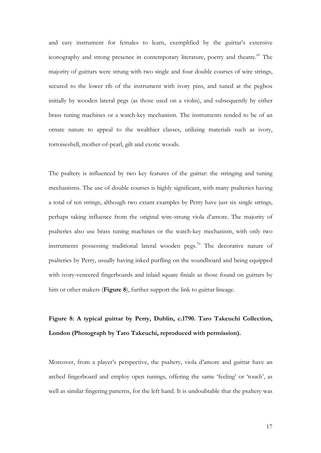and easy instrument for females to learn, exemplified by the guittar's extensive iconography and strong presence in contemporary literature, poetry and theatre.<sup>69</sup> The majority of guittars were strung with two single and four double courses of wire strings, secured to the lower rib of the instrument with ivory pins, and tuned at the pegbox initially by wooden lateral pegs (as those used on a violin), and subsequently by either brass tuning machines or a watch-key mechanism. The instruments tended to be of an ornate nature to appeal to the wealthier classes, utilizing materials such as ivory, tortoiseshell, mother-of-pearl, gilt and exotic woods.

The psaltery is influenced by two key features of the guittar: the stringing and tuning mechanisms. The use of double courses is highly significant, with many psalteries having a total of ten strings, although two extant examples by Perry have just six single strings, perhaps taking influence from the original wire-strung viola d'amore. The majority of psalteries also use brass tuning machines or the watch-key mechanism, with only two instruments possessing traditional lateral wooden pegs.70 The decorative nature of psalteries by Perry, usually having inked purfling on the soundboard and being equipped with ivory-veneered fingerboards and inlaid square finials as those found on guittars by him or other makers (**Figure 8**), further support the link to guittar lineage.

# **Figure 8: A typical guittar by Perry, Dublin, c.1790. Taro Takeuchi Collection, London (Photograph by Taro Takeuchi, reproduced with permission).**

Moreover, from a player's perspective, the psaltery, viola d'amore and guittar have an arched fingerboard and employ open tunings, offering the same 'feeling' or 'touch', as well as similar fingering patterns, for the left hand. It is undoubtable that the psaltery was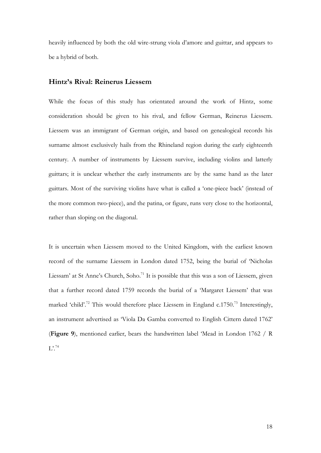heavily influenced by both the old wire-strung viola d'amore and guittar, and appears to be a hybrid of both.

### **Hintz's Rival: Reinerus Liessem**

While the focus of this study has orientated around the work of Hintz, some consideration should be given to his rival, and fellow German, Reinerus Liessem. Liessem was an immigrant of German origin, and based on genealogical records his surname almost exclusively hails from the Rhineland region during the early eighteenth century. A number of instruments by Liessem survive, including violins and latterly guittars; it is unclear whether the early instruments are by the same hand as the later guittars. Most of the surviving violins have what is called a 'one-piece back' (instead of the more common two-piece), and the patina, or figure, runs very close to the horizontal, rather than sloping on the diagonal.

It is uncertain when Liessem moved to the United Kingdom, with the earliest known record of the surname Liessem in London dated 1752, being the burial of 'Nicholas Liessam' at St Anne's Church, Soho.<sup>71</sup> It is possible that this was a son of Liessem, given that a further record dated 1759 records the burial of a 'Margaret Liessem' that was marked 'child'.<sup>72</sup> This would therefore place Liessem in England c.1750.<sup>73</sup> Interestingly, an instrument advertised as 'Viola Da Gamba converted to English Cittern dated 1762' (**Figure 9**), mentioned earlier, bears the handwritten label 'Mead in London 1762 / R  $L^{3.74}$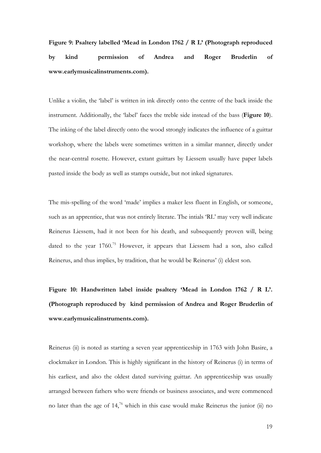**Figure 9: Psaltery labelled 'Mead in London 1762 / R L' (Photograph reproduced by kind permission of Andrea and Roger Bruderlin of www.earlymusicalinstruments.com).** 

Unlike a violin, the 'label' is written in ink directly onto the centre of the back inside the instrument. Additionally, the 'label' faces the treble side instead of the bass (**Figure 10**). The inking of the label directly onto the wood strongly indicates the influence of a guittar workshop, where the labels were sometimes written in a similar manner, directly under the near-central rosette. However, extant guittars by Liessem usually have paper labels pasted inside the body as well as stamps outside, but not inked signatures.

The mis-spelling of the word 'made' implies a maker less fluent in English, or someone, such as an apprentice, that was not entirely literate. The intials 'RL' may very well indicate Reinerus Liessem, had it not been for his death, and subsequently proven will, being dated to the year  $1760$ .<sup>75</sup> However, it appears that Liessem had a son, also called Reinerus, and thus implies, by tradition, that he would be Reinerus' (i) eldest son.

**Figure 10: Handwritten label inside psaltery 'Mead in London 1762 / R L'. (Photograph reproduced by kind permission of Andrea and Roger Bruderlin of www.earlymusicalinstruments.com).**

Reinerus (ii) is noted as starting a seven year apprenticeship in 1763 with John Basire, a clockmaker in London. This is highly significant in the history of Reinerus (i) in terms of his earliest, and also the oldest dated surviving guittar. An apprenticeship was usually arranged between fathers who were friends or business associates, and were commenced no later than the age of  $14<sup>76</sup>$  which in this case would make Reinerus the junior (ii) no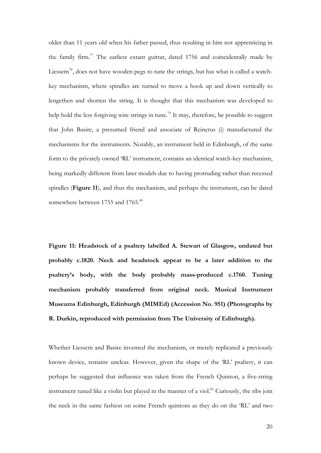older than 11 years old when his father passed, thus resulting in him not apprenticing in the family firm.<sup>77</sup> The earliest extant guittar, dated 1756 and coincidentally made by Liessem<sup>78</sup>, does not have wooden pegs to tune the strings, but has what is called a watchkey mechanism, where spindles are turned to move a hook up and down vertically to lengethen and shorten the string. It is thought that this mechanism was developed to help hold the less forgiving wire strings in tune.<sup>79</sup> It may, therefore, be possible to suggest that John Basire, a presumed friend and associate of Reinerus (i) manufactured the mechanisms for the instruments. Notably, an instrument held in Edinburgh, of the same form to the privately owned 'RL' instrument, contains an identical watch-key mechanism, being markedly different from later models due to having protruding rather than recessed spindles (**Figure 11**), and thus the mechanism, and perhaps the instrument, can be dated somewhere between 1755 and 1765.80

**Figure 11: Headstock of a psaltery labelled A. Stewart of Glasgow, undated but probably c.1820. Neck and headstock appear to be a later addition to the psaltery's body, with the body probably mass-produced c.1760. Tuning mechanism probably transferred from original neck. Musical Instrument Museums Edinburgh, Edinburgh (MIMEd) (Accession No. 951) (Photographs by R. Durkin, reproduced with permission from The University of Edinburgh).**

Whether Liessem and Basire invented the mechanism, or merely replicated a previously known device, remains unclear. However, given the shape of the 'RL' psaltery, it can perhaps be suggested that influence was taken from the French Quinton, a five-string instrument tuned like a violin but played in the manner of a viol. $81$  Curiously, the ribs join the neck in the same fashion on some French quintons as they do on the 'RL' and two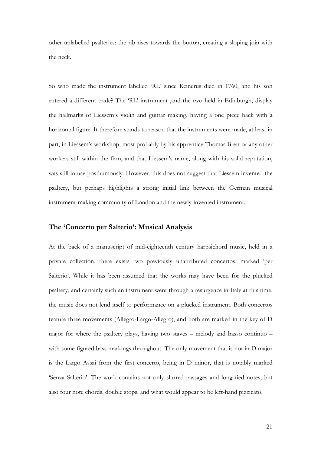other unlabelled psalteries: the rib rises towards the button, creating a sloping join with the neck.

So who made the instrument labelled 'RL' since Reinerus died in 1760, and his son entered a different trade? The 'RL' instrument ,and the two held in Edinburgh, display the hallmarks of Liessem's violin and guittar making, having a one piece back with a horizontal figure. It therefore stands to reason that the instruments were made, at least in part, in Liessem's workshop, most probably by his apprentice Thomas Brett or any other workers still within the firm, and that Liessem's name, along with his solid reputation, was still in use posthumously. However, this does not suggest that Liessem invented the psaltery, but perhaps highlights a strong initial link between the German musical instrument-making community of London and the newly-invented instrument.

#### **The 'Concerto per Salterio': Musical Analysis**

At the back of a manuscript of mid-eighteenth century harpsichord music, held in a private collection, there exists two previously unattributed concertos, marked 'per Salterio'. While it has been assumed that the works may have been for the plucked psaltery, and certainly such an instrument went through a resurgence in Italy at this time, the music does not lend itself to performance on a plucked instrument. Both concertos feature three movements (Allegro-Largo-Allegro), and both are marked in the key of D major for where the psaltery plays, having two staves – melody and basso continuo – with some figured bass markings throughout. The only movement that is not in D major is the Largo Assai from the first concerto, being in D minor, that is notably marked 'Senza Salterio'. The work contains not only slurred passages and long tied notes, but also four note chords, double stops, and what would appear to be left-hand pizzicato.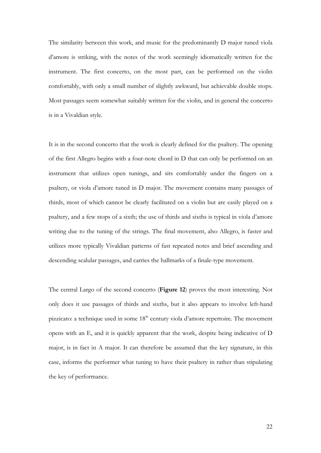The similarity between this work, and music for the predominantly D major tuned viola d'amore is striking, with the notes of the work seemingly idiomatically written for the instrument. The first concerto, on the most part, can be performed on the violin comfortably, with only a small number of slightly awkward, but achievable double stops. Most passages seem somewhat suitably written for the violin, and in general the concerto is in a Vivaldian style.

It is in the second concerto that the work is clearly defined for the psaltery. The opening of the first Allegro begins with a four-note chord in D that can only be performed on an instrument that utilizes open tunings, and sits comfortably under the fingers on a psaltery, or viola d'amore tuned in D major. The movement contains many passages of thirds, most of which cannot be clearly facilitated on a violin but are easily played on a psaltery, and a few stops of a sixth; the use of thirds and sixths is typical in viola d'amore writing due to the tuning of the strings. The final movement, also Allegro, is faster and utilizes more typically Vivaldian patterns of fast repeated notes and brief ascending and descending scalular passages, and carries the hallmarks of a finale-type movement.

The central Largo of the second concerto (**Figure 12**) proves the most interesting. Not only does it use passages of thirds and sixths, but it also appears to involve left-hand pizzicato: a technique used in some 18<sup>th</sup> century viola d'amore repertoire. The movement opens with an E, and it is quickly apparent that the work, despite being indicative of D major, is in fact in A major. It can therefore be assumed that the key signature, in this case, informs the performer what tuning to have their psaltery in rather than stipulating the key of performance.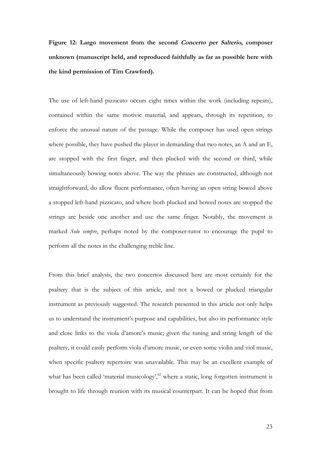**Figure 12: Largo movement from the second Concerto per Salterio, composer unknown (manuscript held, and reproduced faithfully as far as possible here with the kind permission of Tim Crawford).** 

The use of left-hand pizzicato occurs eight times within the work (including repeats), contained within the same motivic material, and appears, through its repetition, to enforce the unusual nature of the passage. While the composer has used open strings where possible, they have pushed the player in demanding that two notes, an A and an E, are stopped with the first finger, and then plucked with the second or third, while simultaneously bowing notes above. The way the phrases are constructed, although not straightforward, do allow fluent performance, often having an open string bowed above a stopped left-hand pizzicato, and where both plucked and bowed notes are stopped the strings are beside one another and use the same finger. Notably, the movement is marked *Solo sempre*, perhaps noted by the composer-tutor to encourage the pupil to perform all the notes in the challenging treble line.

From this brief analysis, the two concertos discussed here are most certainly for the psaltery that is the subject of this article, and not a bowed or plucked triangular instrument as previously suggested. The research presented in this article not only helps us to understand the instrument's purpose and capabilities, but also its performance style and close links to the viola d'amore's music; given the tuning and string length of the psaltery, it could easily perform viola d'amore music, or even some violin and viol music, when specific psaltery repertoire was unavailable. This may be an excellent example of what has been called 'material musicology', $82$  where a static, long forgotten instrument is brought to life through reunion with its musical counterpart. It can be hoped that from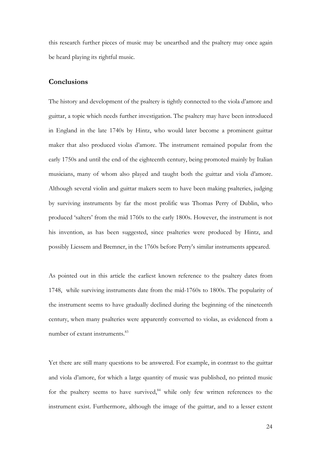this research further pieces of music may be unearthed and the psaltery may once again be heard playing its rightful music.

### **Conclusions**

The history and development of the psaltery is tightly connected to the viola d'amore and guittar, a topic which needs further investigation. The psaltery may have been introduced in England in the late 1740s by Hintz, who would later become a prominent guittar maker that also produced violas d'amore. The instrument remained popular from the early 1750s and until the end of the eighteenth century, being promoted mainly by Italian musicians, many of whom also played and taught both the guittar and viola d'amore. Although several violin and guittar makers seem to have been making psalteries, judging by surviving instruments by far the most prolific was Thomas Perry of Dublin, who produced 'salters' from the mid 1760s to the early 1800s. However, the instrument is not his invention, as has been suggested, since psalteries were produced by Hintz, and possibly Liessem and Bremner, in the 1760s before Perry's similar instruments appeared.

As pointed out in this article the earliest known reference to the psaltery dates from 1748, while surviving instruments date from the mid-1760s to 1800s. The popularity of the instrument seems to have gradually declined during the beginning of the nineteenth century, when many psalteries were apparently converted to violas, as evidenced from a number of extant instruments.<sup>83</sup>

Yet there are still many questions to be answered. For example, in contrast to the guittar and viola d'amore, for which a large quantity of music was published, no printed music for the psaltery seems to have survived, $84$  while only few written references to the instrument exist. Furthermore, although the image of the guittar, and to a lesser extent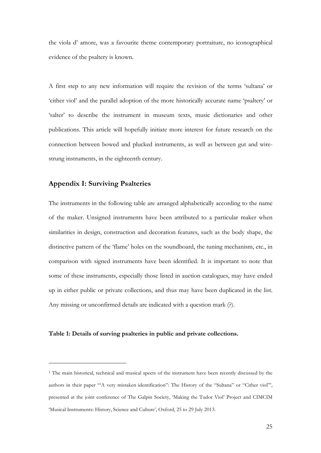the viola d' amore, was a favourite theme contemporary portraiture, no iconographical evidence of the psaltery is known.

A first step to any new information will require the revision of the terms 'sultana' or 'cither viol' and the parallel adoption of the more historically accurate name 'psaltery' or 'salter' to describe the instrument in museum texts, music dictionaries and other publications. This article will hopefully initiate more interest for future research on the connection between bowed and plucked instruments, as well as between gut and wirestrung instruments, in the eighteenth century.

# **Appendix I: Surviving Psalteries**

 $\overline{a}$ 

The instruments in the following table are arranged alphabetically according to the name of the maker. Unsigned instruments have been attributed to a particular maker when similarities in design, construction and decoration features, such as the body shape, the distinctive pattern of the 'flame' holes on the soundboard, the tuning mechanism, etc., in comparison with signed instruments have been identified. It is important to note that some of these instruments, especially those listed in auction catalogues, may have ended up in either public or private collections, and thus may have been duplicated in the list. Any missing or unconfirmed details are indicated with a question mark (?).

#### **Table 1: Details of surving psalteries in public and private collections.**

<sup>&</sup>lt;sup>1</sup> The main historical, technical and musical apects of the instrument have been recently discussed by the authors in their paper '"A very mistaken identification": The History of the "Sultana" or "Cither viol"', presented at the joint conference of The Galpin Society, 'Making the Tudor Viol' Project and CIMCIM 'Musical Instruments: History, Science and Culture', Oxford, 25 to 29 July 2013.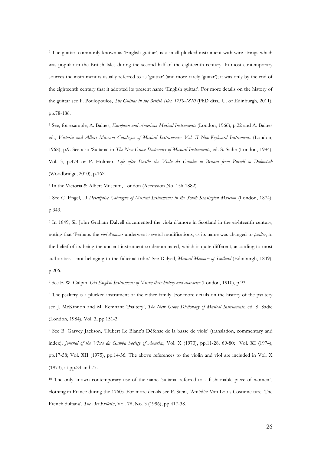<sup>2</sup> The guittar, commonly known as 'English guittar', is a small plucked instrument with wire strings which was popular in the British Isles during the second half of the eighteenth century. In most contemporary sources the instrument is usually referred to as 'guittar' (and more rarely 'guitar'); it was only by the end of the eighteenth century that it adopted its present name 'English guittar'. For more details on the history of the guittar see P. Poulopoulos, *The Guittar in the British Isles, 1750-1810* (PhD diss., U. of Edinburgh, 2011), pp.78-186.

<sup>3</sup> See, for example, A. Baines, *European and American Musical Instruments* (London, 1966), p.22 and A. Baines ed., *Victoria and Albert Museum Catalogue of Musical Instruments: Vol. II Non-Keyboard Instruments* (London, 1968), p.9. See also 'Sultana' in *The New Grove Dictionary of Musical Instruments*, ed. S. Sadie (London, 1984), Vol. 3, p.474 or P. Holman, *Life after Death: the Viola da Gamba in Britain from Purcell to Dolmetsch* (Woodbridge, 2010), p.162.

<sup>4</sup> In the Victoria & Albert Museum, London (Accession No. 156-1882).

1

<sup>5</sup> See C. Engel, *A Descriptive Catalogue of Musical Instruments in the South Kensington Museum* (London, 1874), p.343.

<sup>6</sup> In 1849, Sir John Graham Dalyell documented the viola d'amore in Scotland in the eighteenth century, noting that 'Perhaps the *viol d'amour* underwent several modifications, as its name was changed to *psalter*, in the belief of its being the ancient instrument so denominated, which is quite different, according to most authorities – not belinging to the fidicinal tribe.' See Dalyell, *Musical Memoirs of Scotland* (Edinburgh, 1849), p.206.

<sup>7</sup> See F. W. Galpin, *Old English Instruments of Music; their history and character* (London, 1910), p.93.

<sup>8</sup> The psaltery is a plucked instrument of the zither family. For more details on the history of the psaltery see J. McKinnon and M. Remnant 'Psaltery', *The New Grove Dictionary of Musical Instruments*, ed. S. Sadie (London, 1984), Vol. 3, pp.151-3.

<sup>9</sup> See B. Garvey Jackson, 'Hubert Le Blanc's Défense de la basse de viole' (translation, commentary and index), *Journal of the Viola da Gamba Society of America*, Vol. X (1973), pp.11-28, 69-80; Vol. XI (1974), pp.17-58; Vol. XII (1975), pp.14-36. The above references to the violin and viol are included in Vol. X (1973), at pp.24 and 77.

<sup>10</sup> The only known contemporary use of the name 'sultana' referred to a fashionable piece of women's clothing in France during the 1760s. For more details see P. Stein, 'Amédée Van Loo's Costume turc: The French Sultana', *The Art Bulletin*, Vol. 78, No. 3 (1996), pp.417-38.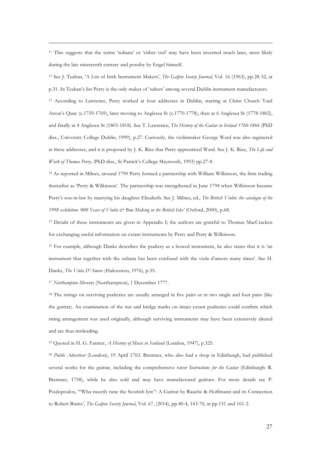<sup>11</sup> This suggests that the terms 'sultana' or 'cither viol' may have been invented much later, most likely during the late nineteenth century and possiby by Engel himself.

<sup>12</sup> See J. Teahan, 'A List of Irish Instrument Makers', *The Galpin Society Journal*, Vol. 16 (1963), pp.28-32, at p.31. In Teahan's list Perry is the only maker of 'salters' among several Dublin instrument manufacturers. <sup>13</sup> According to Lawrence, Perry worked at four addresses in Dublin, starting at Christ Church Yard Aston's Quay (c.1759-1769), later moving to Anglesea St (c.1770-1778), then at 6 Anglesea St (1778-1802), and finally at 4 Anglesea St (1803-1818). See T. Lawrence, *The History of the Guitar in Ireland 1760-1866* (PhD diss., University College Dublin, 1999), p.27. Curiously, the violinmaker George Ward was also registered at these addresses, and it is proposed by J. K. Rice that Perry apprenticed Ward. See J. K. Rice, *The Life and Work of Thomas Perry,* (PhD diss., St Patrick's College Maynooth, 1993) pp.27-8.

<sup>14</sup> As reported in Milnes, around 1790 Perry formed a partnership with William Wilkinson, the firm trading thereafter as 'Perry & Wilkinson'. The partnership was strengthened in June 1794 when Wilkinson became Perry's son-in-law by marrying his daughter Elizabeth. See J. Milnes, ed., *The British Violin: the catalogue of the*  1998 exhibition '400 Years of Violin & Bow Making in the British Isles' (Oxford, 2000), p.68.

<sup>15</sup> Details of these instruments are given in Appendix I; the authors are grateful to Thomas MacCracken for exchanging useful information on extant instruments by Perry and Perry & Wilkinson.

<sup>16</sup> For example, although Danks describes the psaltery as a bowed instrument, he also states that it is 'an instrument that together with the sultana has been confused with the viola d'amore many times'. See H. Danks, *The Viola D'Amore* (Halesowen, 1976), p.35.

<sup>17</sup> *Northampton Mercury* (Northampton), 1 December 1777.

1

<sup>18</sup> The strings on surviving psalteries are usually arranged in five pairs or in two single and four pairs (like the guittar). An examination of the nut and bridge marks on intact extant psalteries could confirm which string arrangement was used originally, although surviving instruments may have been extensively altered and are thus misleading.

<sup>19</sup> Quoted in H. G. Farmer, *A History of Music in Scotland* (London, 1947), p.325.

<sup>20</sup> *Public Advertiser* (London), 19 April 1763. Bremner, who also had a shop in Edinburgh, had published several works for the guittar, including the comprehensive tutor *Instructions for the Guitar* (Edinburgh: R. Bremner, 1758), while he also sold and may have manufactured guittars. For more details see P. Poulopoulos, '"Wha sweetly tune the Scottish lyre": A Guittar by Rauche & Hoffmann and its Connection to Robert Burns', *The Galpin Society Journal*, Vol. 67, (2014), pp.40-4, 143-70, at pp.151 and 161-2.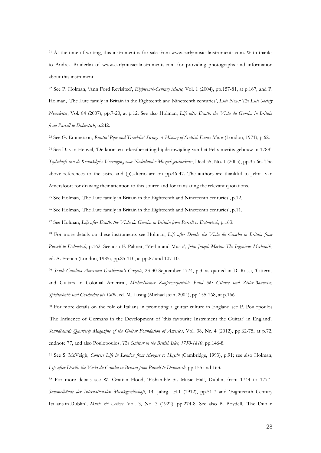<sup>21</sup> At the time of writing, this instrument is for sale from www.earlymusicalinstruments.com. With thanks to Andrea Bruderlin of www.earlymusicalinstruments.com for providing photographs and information about this instrument.

1

<sup>22</sup> See P. Holman, 'Ann Ford Revisited', *Eighteenth-Century Music*, Vol. 1 (2004), pp.157-81, at p.167, and P. Holman, 'The Lute family in Britain in the Eighteenth and Nineteenth centuries', *Lute News: The Lute Society Newsletter*, Vol. 84 (2007), pp.7-20, at p.12. See also Holman, *Life after Death: the Viola da Gamba in Britain from Purcell to Dolmetsch*, p.242.

<sup>23</sup> See G. Emmerson, *Rantin' Pipe and Tremblin' String: A History of Scottish Dance Music* (London, 1971), p.62.

<sup>24</sup> See D. van Heuvel, 'De koor- en orkestbezetting bij de inwijding van het Felix meritis-gebouw in 1788'. *Tijdschrift van de Koninklijke Vereniging voor Nederlandse Muziekgeschiedenis*, Deel 55, No. 1 (2005), pp.35-66. The above references to the sistre and (p)salterio are on pp.46-47. The authors are thankful to Jelma van Amersfoort for drawing their attention to this source and for translating the relevant quotations.

<sup>25</sup> See Holman, 'The Lute family in Britain in the Eighteenth and Nineteenth centuries', p.12.

<sup>26</sup> See Holman, 'The Lute family in Britain in the Eighteenth and Nineteenth centuries', p.11.

<sup>27</sup> See Holman, *Life after Death: the Viola da Gamba in Britain from Purcell to Dolmetsch*, p.163.

<sup>28</sup> For more details on these instruments see Holman, *Life after Death: the Viola da Gamba in Britain from Purcell to Dolmetsch*, p.162. See also F. Palmer, 'Merlin and Music', *John Joseph Merlin: The Ingenious Mechanik*, ed. A. French (London, 1985), pp.85-110, at pp.87 and 107-10.

<sup>29</sup> *South Carolina American Gentleman's Gazette*, 23-30 September 1774, p.3, as quoted in D. Rossi, 'Citterns and Guitars in Colonial America', *Michaelsteiner Konferenzberichte Band 66: Gitarre und Zister-Bauweise, Spieltechnik und Geschichte bis 1800*, ed. M. Lustig (Michaelstein, 2004), pp.155-168, at p.166.

<sup>30</sup> For more details on the role of Italians in promoting a guittar culture in England see P. Poulopoulos 'The Influence of Germans in the Development of 'this favourite Instrument the Guittar' in England', *Soundboard: Quarterly Magazine of the Guitar Foundation of America*, Vol. 38, Nr. 4 (2012), pp.62-75, at p.72, endnote 77, and also Poulopoulos, *The Guittar in the British Isles, 1750-1810*, pp.146-8.

<sup>31</sup> See S. McVeigh, *Concert Life in London from Mozart to Haydn* (Cambridge, 1993), p.91; see also Holman, *Life after Death: the Viola da Gamba in Britain from Purcell to Dolmetsch*, pp.155 and 163.

<sup>32</sup> For more details see W. Grattan Flood, 'Fishamble St. Music Hall, Dublin, from 1744 to 1777', *Sammelbände der Internationalen Musikgesellschaft*, 14. Jahrg., H.1 (1912), pp.51-7 and 'Eighteenth Century Italians in Dublin', *Music & Letters*. Vol. 3, No. 3 (1922), pp.274-8. See also B. Boydell, 'The Dublin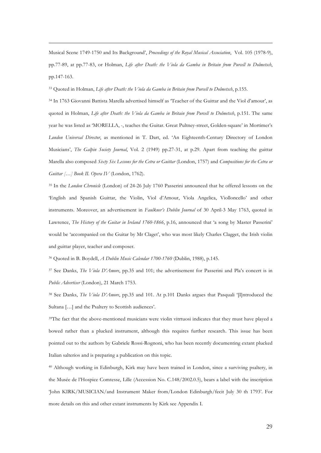Musical Scene 1749-1750 and Its Background', *Proceedings of the Royal Musical Association*, Vol. 105 (1978-9), pp.77-89, at pp.77-83, or Holman, *Life after Death: the Viola da Gamba in Britain from Purcell to Dolmetsch*, pp.147-163.

<sup>33</sup> Quoted in Holman, *Life after Death: the Viola da Gamba in Britain from Purcell to Dolmetsch*, p.155.

1

<sup>34</sup> In 1763 Giovanni Battista Marella advertised himself as 'Teacher of the Guittar and the Viol d'amour', as quoted in Holman, *Life after Death: the Viola da Gamba in Britain from Purcell to Dolmetsch*, p.151. The same year he was listed as 'MORELLA, -, teaches the Guitar. Great Pultney-street, Golden-square' in Mortimer's *London Universal Director*, as mentioned in T. Dart, ed. 'An Eighteenth-Century Directory of London Musicians', *The Galpin Society Journal*, Vol. 2 (1949) pp.27-31, at p.29. Apart from teaching the guittar Marella also composed *Sixty Six Lessons for the Cetra or Guittar* (London, 1757) and *Compositions for the Cetra or Guittar […] Book II. Opera IV* (London, 1762).

<sup>35</sup> In the *London Chronicle* (London) of 24-26 July 1760 Passerini announced that he offered lessons on the 'English and Spanish Guittar, the Violin, Viol d'Amour, Viola Angelica, Violloncello' and other instruments. Moreover, an advertisement in *Faulkner's Dublin Journal* of 30 April-3 May 1763, quoted in Lawrence, *The History of the Guitar in Ireland 1760-1866*, p.16, announced that 'a song by Master Passerini' would be 'accompanied on the Guitar by Mr Claget', who was most likely Charles Clagget, the Irish violin and guittar player, teacher and composer.

<sup>36</sup> Quoted in B. Boydell, *A Dublin Music Calendar 1700-1760* (Dublin, 1988), p.145.

<sup>37</sup> See Danks, *The Viola D'Amore*, pp.35 and 101; the advertisement for Passerini and Pla's concert is in *Public Advertiser* (London), 21 March 1753.

<sup>38</sup> See Danks, *The Viola D'Amore*, pp.35 and 101. At p.101 Danks argues that Pasquali '[I]ntroduced the Sultana […] and the Psaltery to Scottish audiences'.

<sup>39</sup>The fact that the above-mentioned musicians were violin vitrtuosi indicates that they must have played a bowed rather than a plucked instrument, although this requires further research. This issue has been pointed out to the authors by Gabriele Rossi-Rognoni, who has been recently documenting extant plucked Italian salterios and is preparing a publication on this topic.

<sup>40</sup> Although working in Edinburgh, Kirk may have been trained in London, since a surviving psaltery, in the Musée de l'Hospice Comtesse, Lille (Accession No. C.148/2002.0.5), bears a label with the inscription 'John KIRK/MUSICIAN/and Instrument Maker from/London Edinburgh/fecit July 30 th 1793'. For more details on this and other extant instruments by Kirk see Appendix I.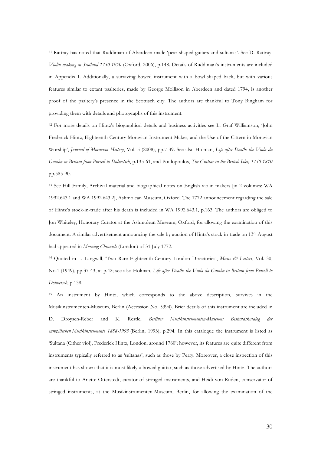<sup>41</sup> Rattray has noted that Ruddiman of Aberdeen made 'pear-shaped guitars and sultanas'. See D. Rattray, *Violin making in Scotland 1750-1950* (Oxford, 2006), p.148. Details of Ruddiman's instruments are included in Appendix I. Additionally, a surviving bowed instrument with a bowl-shaped back, but with various features similar to extant psalteries, made by George Mollison in Aberdeen and dated 1794, is another proof of the psaltery's presence in the Scottisch city. The authors are thankful to Tony Bingham for providing them with details and photographs of this instrument.

1

<sup>42</sup> For more details on Hintz's biographical details and business activities see L. Graf Williamson, 'John Frederick Hintz, Eighteenth-Century Moravian Instrument Maker, and the Use of the Cittern in Moravian Worship', *Journal of Moravian History*, Vol. 5 (2008), pp.7-39. See also Holman, *Life after Death: the Viola da Gamba in Britain from Purcell to Dolmetsch*, p.135-61, and Poulopoulos, *The Guittar in the British Isles, 1750-1810* pp.585-90.

<sup>43</sup> See Hill Family, Archival material and biographical notes on English violin makers [in 2 volumes: WA 1992.643.1 and WA 1992.643.2], Ashmolean Museum, Oxford. The 1772 announcement regarding the sale of Hintz's stock-in-trade after his death is included in WA 1992.643.1, p.163. The authors are obliged to Jon Whiteley, Honorary Curator at the Ashmolean Museum, Oxford, for allowing the examination of this document. A similar advertisement announcing the sale by auction of Hintz's stock-in-trade on 13<sup>th</sup> August had appeared in *Morning Chronicle* (London) of 31 July 1772.

<sup>44</sup> Quoted in L. Langwill, 'Two Rare Eighteenth-Century London Directories', *Music & Letters*, Vol. 30, No.1 (1949), pp.37-43, at p.42; see also Holman, *Life after Death: the Viola da Gamba in Britain from Purcell to Dolmetsch*, p.138.

<sup>45</sup> An instrument by Hintz, which corresponds to the above description, survives in the Musikinstrumenten-Museum, Berlin (Accession No. 5394). Brief details of this instrument are included in D. Droysen-Reber and K. Restle, *Berliner Musikinstrumenten-Museum: Bestandskatalog der europäischen Musikinstrumente 1888-1993* (Berlin, 1993), p.294. In this catalogue the instrument is listed as 'Sultana (Cither viol), Frederick Hintz, London, around 1760'; however, its features are quite different from instruments typically referred to as 'sultanas', such as those by Perry. Moreover, a close inspection of this instrument has shown that it is most likely a bowed guittar, such as those advertised by Hintz. The authors are thankful to Anette Otterstedt, curator of stringed instruments, and Heidi von Rüden, conservator of stringed instruments, at the Musikinstrumenten-Museum, Berlin, for allowing the examination of the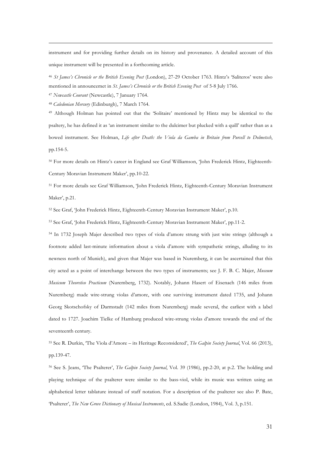instrument and for providing further details on its history and provenance. A detailed account of this unique instrument will be presented in a forthcoming article.

<sup>46</sup> *St James's Chronicle or the British Evening Post* (London), 27-29 October 1763. Hintz's 'Saliteros' were also mentioned in announcemet in *St. James's Chronicle or the British Evening Post* of 5-8 July 1766.

<sup>47</sup> *Newcastle Courant* (Newcastle), 7 January 1764.

1

<sup>48</sup> *Caledonian Mercury* (Edinburgh), 7 March 1764.

<sup>49</sup> Although Holman has pointed out that the 'Solitaire' mentioned by Hintz may be identical to the psaltery, he has defined it as 'an instrument similar to the dulcimer but plucked with a quill' rather than as a bowed instrument. See Holman, *Life after Death: the Viola da Gamba in Britain from Purcell to Dolmetsch*, pp.154-5.

<sup>50</sup> For more details on Hintz's career in England see Graf Williamson, 'John Frederick Hintz, Eighteenth-Century Moravian Instrument Maker', pp.10-22.

<sup>51</sup> For more details see Graf Williamson, 'John Frederick Hintz, Eighteenth-Century Moravian Instrument Maker', p.21.

<sup>52</sup> See Graf, 'John Frederick Hintz, Eighteenth-Century Moravian Instrument Maker', p.10.

<sup>53</sup> See Graf, 'John Frederick Hintz, Eighteenth-Century Moravian Instrument Maker', pp.11-2.

<sup>54</sup> In 1732 Joseph Majer described two types of viola d'amore strung with just wire strings (although a footnote added last-minute information about a viola d'amore with sympathetic strings, alluding to its newness north of Munich), and given that Majer was based in Nuremberg, it can be ascertained that this city acted as a point of interchange between the two types of instruments; see J. F. B. C. Majer, *Museum Musicum Theoretico Practicum* (Nuremberg, 1732). Notably, Johann Hasert of Eisenach (146 miles from Nuremberg) made wire-strung violas d'amore, with one surviving instrument dated 1735, and Johann Georg Skotschofsky of Darmstadt (142 miles from Nuremberg) made several, the earliest with a label dated to 1727. Joachim Tielke of Hamburg produced wire-strung violas d'amore towards the end of the seventeenth century.

<sup>55</sup> See R. Durkin, 'The Viola d'Amore – its Heritage Reconsidered', *The Galpin Society Journal*, Vol. 66 (2013), pp.139-47.

<sup>56</sup> See S. Jeans, 'The Psalterer', *The Galpin Society Journal*, Vol. 39 (1986), pp.2-20, at p.2. The holding and playing technique of the psalterer were similar to the bass-viol, while its music was written using an alphabetical letter tablature instead of staff notation. For a description of the psalterer see also P. Bate, 'Psalterer', *The New Grove Dictionary of Musical Instruments*, ed. S.Sadie (London, 1984), Vol. 3, p.151.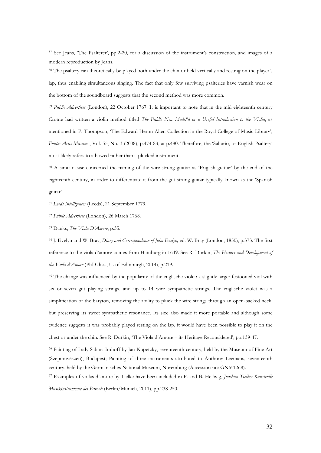<sup>57</sup> See Jeans, 'The Psalterer', pp.2-20, for a discussion of the instrument's construction, and images of a modern reproduction by Jeans.

<sup>58</sup> The psaltery can theoretically be played both under the chin or held vertically and resting on the player's lap, thus enabling simultaneous singing. The fact that only few surviving psalteries have varnish wear on the bottom of the soundboard suggests that the second method was more common.

<sup>59</sup> *Public Advertiser* (London), 22 October 1767. It is important to note that in the mid eighteenth century Crome had written a violin method titled *The Fiddle New Model'd or a Useful Introduction to the Violin*, as mentioned in P. Thompson, 'The Edward Heron-Allen Collection in the Royal College of Music Library', *Fontes Artis Musicae* , Vol. 55, No. 3 (2008), p.474-83, at p.480. Therefore, the 'Saltario, or English Psaltery' most likely refers to a bowed rather than a plucked instrument.

<sup>60</sup> A similar case concerned the naming of the wire-strung guittar as 'English guittar' by the end of the eighteenth century, in order to differentiate it from the gut-strung guitar typically known as the 'Spanish guitar'.

<sup>61</sup> *Leeds Intelligencer* (Leeds), 21 September 1779.

<sup>62</sup> *Public Advertiser* (London), 26 March 1768.

<sup>63</sup> Danks, *The Viola D'Amore*, p.35.

1

<sup>64</sup> J. Evelyn and W. Bray, *Diary and Correspondence of John Evelyn,* ed. W. Bray (London, 1850), p.373. The first reference to the viola d'amore comes from Hamburg in 1649. See R. Durkin, *The History and Development of the Viola d'Amore* (PhD diss., U. of Edinburgh, 2014), p.219.

<sup>65</sup> The change was influenced by the popularity of the englische violet: a slightly larger festooned viol with six or seven gut playing strings, and up to 14 wire sympathetic strings. The englische violet was a simplification of the baryton, removing the ability to pluck the wire strings through an open-backed neck, but preserving its sweet sympathetic resonance. Its size also made it more portable and although some evidence suggests it was probably played resting on the lap, it would have been possible to play it on the chest or under the chin. See R. Durkin, 'The Viola d'Amore – its Heritage Reconsidered', pp.139-47.

<sup>66</sup> Painting of Lady Sabina Imhoff by Jan Kupetzky, seventeenth century, held by the Museum of Fine Art (Szépmüvészeti), Budapest; Painting of three instruments attributed to Anthony Leemans, seventeenth century, held by the Germanisches National Museum, Nuremburg (Accession no: GNM1268).

<sup>67</sup> Examples of violas d'amore by Tielke have been included in F. and B. Hellwig, *Joachim Tielke: Kunstvolle Musikinstrumente des Barock* (Berlin/Munich, 2011), pp.238-250.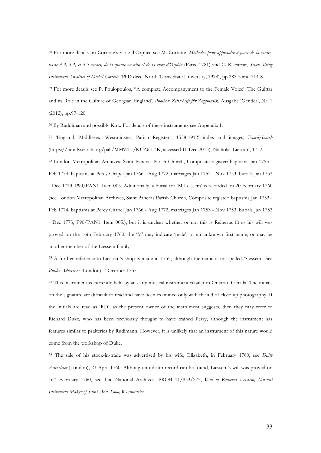<sup>68</sup> For more details on Corrette's viole d'Orphee see M. Corrette, *Méthodes pour apprendre à jouer de la contrebasse à 3, à 4, et à 5 cordes, de la quinte ou alto et de la viole d'Orphée* (Paris, 1781) and C. R. Farrar, *Seven String Instrument Treatises of Michel Corrette* (PhD diss., North Texas State University, 1978), pp.282-3 and 314-8. <sup>69</sup> For more details see P. Poulopoulos, ''A complete Accompanyment to the Female Voice': The Guittar and its Role in the Culture of Georgian England', *Phoibos: Zeitschrift für Zupfmusik*, Ausgabe 'Gender', Nr. 1 (2012), pp.97-120.

<sup>70</sup> By Ruddiman and possibly Kirk. For details of these instruments see Appendix I.

1

<sup>71</sup> 'England, Middlesex, Westminster, Parish Registers, 1538-1912' index and images, *FamilySearch* (https://familysearch.org/pal:/MM9.1.1/KCZ6-L3K, accessed 10 Dec 2013), Nicholas Liessam, 1752. <sup>72</sup> London Metropolitan Archives, Saint Pancras Parish Church, Composite register: baptisms Jan 1753 - Feb 1774, baptisms at Percy Chapel Jan 1766 - Aug 1772, marriages Jan 1753 - Nov 1753, burials Jan 1753 - Dec 1773, P90/PAN1, Item 005. Additionally, a burial for 'M Leissem' is recorded on 20 February 1760 (see London Metropolitan Archives, Saint Pancras Parish Church, Composite register: baptisms Jan 1753 - Feb 1774, baptisms at Percy Chapel Jan 1766 - Aug 1772, marriages Jan 1753 - Nov 1753, burials Jan 1753 - Dec 1773, P90/PAN1, Item 005.), but it is unclear whether or not this is Reinerus (i) as his will was proved on the 16th February 1760: the 'M' may indicate 'male', or an unknown first name, or may be another member of the Liessem family.

<sup>73</sup> A further reference to Liessem's shop is made in 1755, although the name is misspelled 'Siessem'. See *Public Advertiser* (London), 7 October 1755.

<sup>74</sup> This instrument is currently held by an early musical instrument retailer in Ontario, Canada. The initials on the signature are difficult to read and have been examined only with the aid of close-up photography. If the initials are read as 'RD', as the present owner of the instrument suggests, then they may refer to Richard Duke, who has been previously thought to have trained Perry, although the instrument has features similar to psalteries by Rudimann. However, it is unlikely that an instrument of this nature would come from the workshop of Duke.

<sup>75</sup> The sale of his stock-in-trade was advertised by his wife, Elizabeth, in February 1760; see *Daily Advertiser* (London), 23 April 1760*.* Although no death record can be found, Liessem's will was proved on 16th February 1760, see The National Archives, PROB 11/853/275, *Will of Reinerus Leissem, Musical Instrument Maker of Saint Ann, Soho, Westminster*.